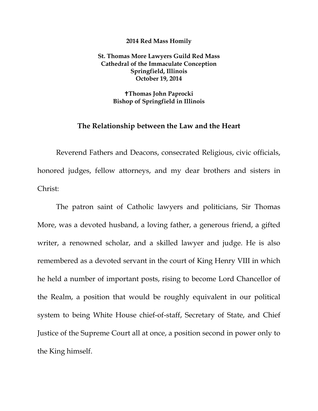## **2014 Red Mass Homily**

**St. Thomas More Lawyers Guild Red Mass Cathedral of the Immaculate Conception Springfield, Illinois October 19, 2014** 

> **Thomas John Paprocki Bishop of Springfield in Illinois**

## **The Relationship between the Law and the Heart**

Reverend Fathers and Deacons, consecrated Religious, civic officials, honored judges, fellow attorneys, and my dear brothers and sisters in Christ:

The patron saint of Catholic lawyers and politicians, Sir Thomas More, was a devoted husband, a loving father, a generous friend, a gifted writer, a renowned scholar, and a skilled lawyer and judge. He is also remembered as a devoted servant in the court of King Henry VIII in which he held a number of important posts, rising to become Lord Chancellor of the Realm, a position that would be roughly equivalent in our political system to being White House chief-of-staff, Secretary of State, and Chief Justice of the Supreme Court all at once, a position second in power only to the King himself.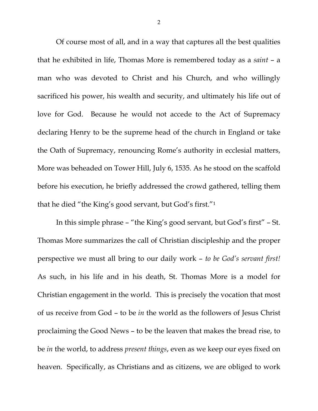Of course most of all, and in a way that captures all the best qualities that he exhibited in life, Thomas More is remembered today as a *saint* – a man who was devoted to Christ and his Church, and who willingly sacrificed his power, his wealth and security, and ultimately his life out of love for God. Because he would not accede to the Act of Supremacy declaring Henry to be the supreme head of the church in England or take the Oath of Supremacy, renouncing Rome's authority in ecclesial matters, More was beheaded on Tower Hill, July 6, 1535. As he stood on the scaffold before his execution, he briefly addressed the crowd gathered, telling them that he died "the King's good servant, but God's first."1

In this simple phrase – "the King's good servant, but God's first" – St. Thomas More summarizes the call of Christian discipleship and the proper perspective we must all bring to our daily work – *to be God's servant first!* As such, in his life and in his death, St. Thomas More is a model for Christian engagement in the world. This is precisely the vocation that most of us receive from God – to be *in* the world as the followers of Jesus Christ proclaiming the Good News – to be the leaven that makes the bread rise, to be *in* the world, to address *present things*, even as we keep our eyes fixed on heaven. Specifically, as Christians and as citizens, we are obliged to work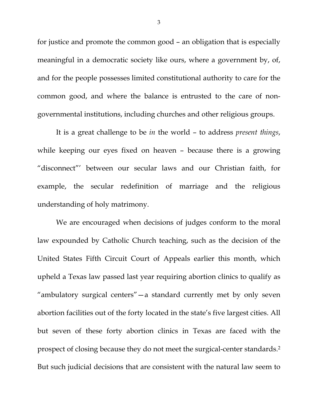for justice and promote the common good – an obligation that is especially meaningful in a democratic society like ours, where a government by, of, and for the people possesses limited constitutional authority to care for the common good, and where the balance is entrusted to the care of nongovernmental institutions, including churches and other religious groups.

It is a great challenge to be *in* the world – to address *present things*, while keeping our eyes fixed on heaven – because there is a growing "disconnect"' between our secular laws and our Christian faith, for example, the secular redefinition of marriage and the religious understanding of holy matrimony.

We are encouraged when decisions of judges conform to the moral law expounded by Catholic Church teaching, such as the decision of the United States Fifth Circuit Court of Appeals earlier this month, which upheld a Texas law passed last year requiring abortion clinics to qualify as "ambulatory surgical centers"—a standard currently met by only seven abortion facilities out of the forty located in the state's five largest cities. All but seven of these forty abortion clinics in Texas are faced with the prospect of closing because they do not meet the surgical-center standards.2 But such judicial decisions that are consistent with the natural law seem to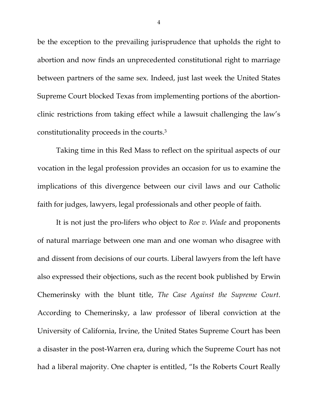be the exception to the prevailing jurisprudence that upholds the right to abortion and now finds an unprecedented constitutional right to marriage between partners of the same sex. Indeed, just last week the United States Supreme Court blocked Texas from implementing portions of the abortionclinic restrictions from taking effect while a lawsuit challenging the law's constitutionality proceeds in the courts.3

Taking time in this Red Mass to reflect on the spiritual aspects of our vocation in the legal profession provides an occasion for us to examine the implications of this divergence between our civil laws and our Catholic faith for judges, lawyers, legal professionals and other people of faith.

It is not just the pro-lifers who object to *Roe v. Wade* and proponents of natural marriage between one man and one woman who disagree with and dissent from decisions of our courts. Liberal lawyers from the left have also expressed their objections, such as the recent book published by Erwin Chemerinsky with the blunt title, *The Case Against the Supreme Court*. According to Chemerinsky, a law professor of liberal conviction at the University of California, Irvine, the United States Supreme Court has been a disaster in the post-Warren era, during which the Supreme Court has not had a liberal majority. One chapter is entitled, "Is the Roberts Court Really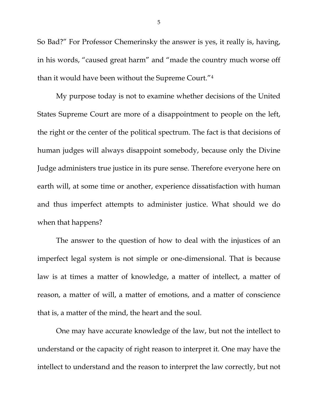So Bad?" For Professor Chemerinsky the answer is yes, it really is, having, in his words, "caused great harm" and "made the country much worse off than it would have been without the Supreme Court."4

My purpose today is not to examine whether decisions of the United States Supreme Court are more of a disappointment to people on the left, the right or the center of the political spectrum. The fact is that decisions of human judges will always disappoint somebody, because only the Divine Judge administers true justice in its pure sense. Therefore everyone here on earth will, at some time or another, experience dissatisfaction with human and thus imperfect attempts to administer justice. What should we do when that happens?

The answer to the question of how to deal with the injustices of an imperfect legal system is not simple or one-dimensional. That is because law is at times a matter of knowledge, a matter of intellect, a matter of reason, a matter of will, a matter of emotions, and a matter of conscience that is, a matter of the mind, the heart and the soul.

One may have accurate knowledge of the law, but not the intellect to understand or the capacity of right reason to interpret it. One may have the intellect to understand and the reason to interpret the law correctly, but not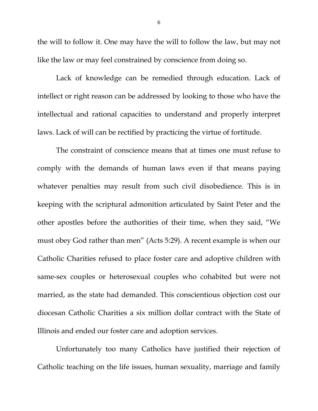the will to follow it. One may have the will to follow the law, but may not like the law or may feel constrained by conscience from doing so.

Lack of knowledge can be remedied through education. Lack of intellect or right reason can be addressed by looking to those who have the intellectual and rational capacities to understand and properly interpret laws. Lack of will can be rectified by practicing the virtue of fortitude.

The constraint of conscience means that at times one must refuse to comply with the demands of human laws even if that means paying whatever penalties may result from such civil disobedience. This is in keeping with the scriptural admonition articulated by Saint Peter and the other apostles before the authorities of their time, when they said, "We must obey God rather than men" (Acts 5:29). A recent example is when our Catholic Charities refused to place foster care and adoptive children with same-sex couples or heterosexual couples who cohabited but were not married, as the state had demanded. This conscientious objection cost our diocesan Catholic Charities a six million dollar contract with the State of Illinois and ended our foster care and adoption services.

Unfortunately too many Catholics have justified their rejection of Catholic teaching on the life issues, human sexuality, marriage and family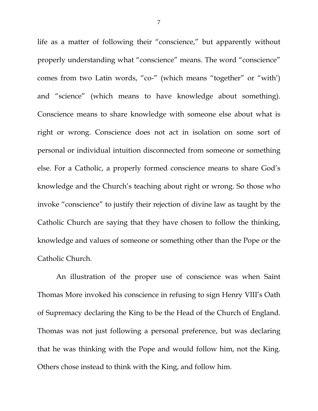life as a matter of following their "conscience," but apparently without properly understanding what "conscience" means. The word "conscience" comes from two Latin words, "co-" (which means "together" or "with') and "science" (which means to have knowledge about something). Conscience means to share knowledge with someone else about what is right or wrong. Conscience does not act in isolation on some sort of personal or individual intuition disconnected from someone or something else. For a Catholic, a properly formed conscience means to share God's knowledge and the Church's teaching about right or wrong. So those who invoke "conscience" to justify their rejection of divine law as taught by the Catholic Church are saying that they have chosen to follow the thinking, knowledge and values of someone or something other than the Pope or the Catholic Church.

An illustration of the proper use of conscience was when Saint Thomas More invoked his conscience in refusing to sign Henry VIII's Oath of Supremacy declaring the King to be the Head of the Church of England. Thomas was not just following a personal preference, but was declaring that he was thinking with the Pope and would follow him, not the King. Others chose instead to think with the King, and follow him.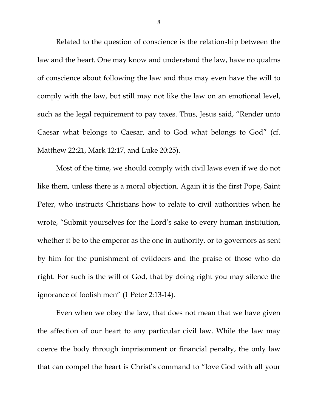Related to the question of conscience is the relationship between the law and the heart. One may know and understand the law, have no qualms of conscience about following the law and thus may even have the will to comply with the law, but still may not like the law on an emotional level, such as the legal requirement to pay taxes. Thus, Jesus said, "Render unto Caesar what belongs to Caesar, and to God what belongs to God" (cf. Matthew 22:21, Mark 12:17, and Luke 20:25).

Most of the time, we should comply with civil laws even if we do not like them, unless there is a moral objection. Again it is the first Pope, Saint Peter, who instructs Christians how to relate to civil authorities when he wrote, "Submit yourselves for the Lord's sake to every human institution, whether it be to the emperor as the one in authority, or to governors as sent by him for the punishment of evildoers and the praise of those who do right. For such is the will of God, that by doing right you may silence the ignorance of foolish men" (1 Peter 2:13-14).

Even when we obey the law, that does not mean that we have given the affection of our heart to any particular civil law. While the law may coerce the body through imprisonment or financial penalty, the only law that can compel the heart is Christ's command to "love God with all your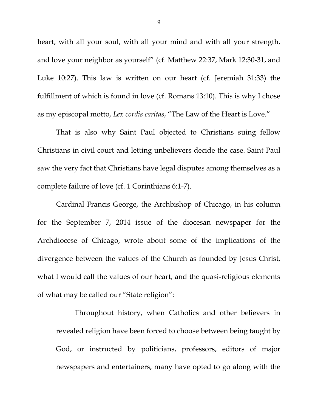heart, with all your soul, with all your mind and with all your strength, and love your neighbor as yourself" (cf. Matthew 22:37, Mark 12:30-31, and Luke 10:27). This law is written on our heart (cf. Jeremiah 31:33) the fulfillment of which is found in love (cf. Romans 13:10). This is why I chose as my episcopal motto, *Lex cordis caritas*, "The Law of the Heart is Love."

That is also why Saint Paul objected to Christians suing fellow Christians in civil court and letting unbelievers decide the case. Saint Paul saw the very fact that Christians have legal disputes among themselves as a complete failure of love (cf. 1 Corinthians 6:1-7).

Cardinal Francis George, the Archbishop of Chicago, in his column for the September 7, 2014 issue of the diocesan newspaper for the Archdiocese of Chicago, wrote about some of the implications of the divergence between the values of the Church as founded by Jesus Christ, what I would call the values of our heart, and the quasi-religious elements of what may be called our "State religion":

Throughout history, when Catholics and other believers in revealed religion have been forced to choose between being taught by God, or instructed by politicians, professors, editors of major newspapers and entertainers, many have opted to go along with the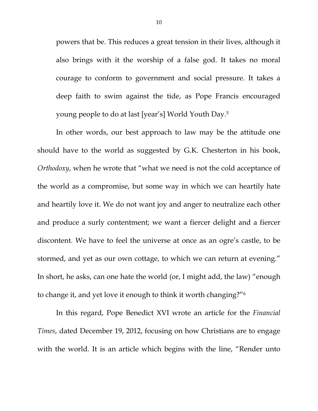powers that be. This reduces a great tension in their lives, although it also brings with it the worship of a false god. It takes no moral courage to conform to government and social pressure. It takes a deep faith to swim against the tide, as Pope Francis encouraged young people to do at last [year's] World Youth Day.5

 In other words, our best approach to law may be the attitude one should have to the world as suggested by G.K. Chesterton in his book, *Orthodoxy*, when he wrote that "what we need is not the cold acceptance of the world as a compromise, but some way in which we can heartily hate and heartily love it. We do not want joy and anger to neutralize each other and produce a surly contentment; we want a fiercer delight and a fiercer discontent. We have to feel the universe at once as an ogre's castle, to be stormed, and yet as our own cottage, to which we can return at evening." In short, he asks, can one hate the world (or, I might add, the law) "enough to change it, and yet love it enough to think it worth changing?"6

In this regard, Pope Benedict XVI wrote an article for the *Financial Times*, dated December 19, 2012, focusing on how Christians are to engage with the world. It is an article which begins with the line, "Render unto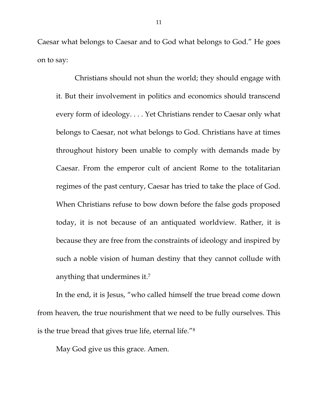Caesar what belongs to Caesar and to God what belongs to God." He goes on to say:

Christians should not shun the world; they should engage with it. But their involvement in politics and economics should transcend every form of ideology. . . . Yet Christians render to Caesar only what belongs to Caesar, not what belongs to God. Christians have at times throughout history been unable to comply with demands made by Caesar. From the emperor cult of ancient Rome to the totalitarian regimes of the past century, Caesar has tried to take the place of God. When Christians refuse to bow down before the false gods proposed today, it is not because of an antiquated worldview. Rather, it is because they are free from the constraints of ideology and inspired by such a noble vision of human destiny that they cannot collude with anything that undermines it.7

In the end, it is Jesus, "who called himself the true bread come down from heaven, the true nourishment that we need to be fully ourselves. This is the true bread that gives true life, eternal life."8

May God give us this grace. Amen.